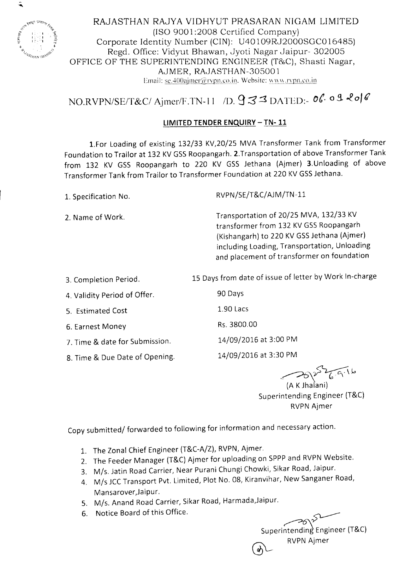

RAJASTHAN RAJYA VIDHYUT PRASARAN NIGAM LIMITED (ISO 9001 :2008 Certified Company) Corporate Identity Number (CIN): U40 109RJ2000SGCO 16485) Regd. Office: Vidyut Bhawan, Jyoti Nagar Jaipur- 302005 OFFICE OF THE SUPERINTENDING ENGINEER (T&C), Shasti Nagar, AJMER, RAJASTHAN-30500 1 Email: se.400ajmer@rvpn.co.in. Website: www.rypn.co.in

## NO.RVPN/SE/T&C/ Ajmer/F.TN-11 /D. 933 DATED:- 06.09 206

## **LIMITED TENDER ENQUIRY - TN- 11**

1.For Loading of existing 132/33 KV,20/2S MVA Transformer Tank from Transformer Foundation to Trailor at 132 KV GSS Roopangarh. 2. Transportation of above Transformer Tank from 132 KV GSS Roopangarh to 220 KV GSS Jethana (Ajmer) 3.Unloading of above Transformer Tank from Trailor to Transformer Foundation at 220 KV GSSJethana.

|  | 1. Specification No. |  |
|--|----------------------|--|
|  |                      |  |

RVPN/SE/T&C/AJM/TN-11

2. Name of Work. Transportation of 20/25 MVA, 132/33 KV transformer from 132 KV GSS Roopangarh (Kishangarh) to 220 KV GSS Jethana (Ajmer) including Loading, Transportation, Unloading and placement of transformer on foundation

3. Completion Period.

4. Validity Period of Offer.

5. Estimated Cost

6. Earnest Money

7. Time & date for Submission.

*B.* Time & Due Date of Opening.

1.90 Lacs

15 Days from date of issue of letter by Work In-charge

Rs.3BOO.00

90 Days

14/09/2016 at 3:00 PM

14/09/2016 at 3:30 PM

 $\rightarrow$ 

(A KJhalani) Superintending Engineer (T&C) RVPN Ajmer

Copy submitted/ forwarded to following for information and necessary action.

- 1. The Zonal Chief Engineer (T&C-A/Z), RVPN, Ajmer.
- 2. The Feeder Manager (T&C) Ajmer for uploading on SPPP and RVPN Website.
- 3. M/s. Jatin Road Carrier, Near Purani Chungi Chowki, Sikar Road, Jaipur.
- 4. M/s JCCTransport Pvt. Limited, Plot No. *OB,* Kiranvihar, New Sanganer Road, Mansarover, Jaipur.
- 5. M/s. Anand Road Carrier, Sikar Road, Harmada,Jaipur.
- 6. Notice Board of this Office.

<~ Superintending Engineer (T&C) RVPN Ajmer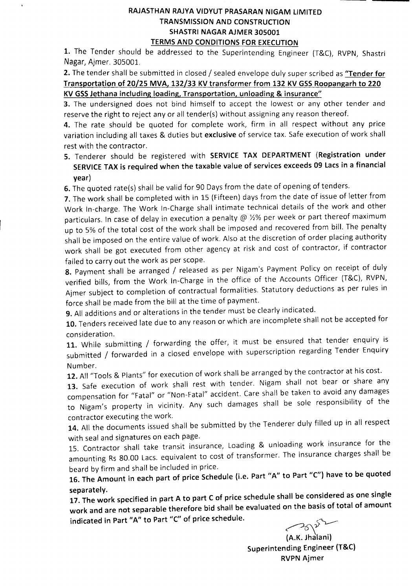## RAJASTHAN RAJYA VIDYUT PRASARAN NIGAM LIMITED TRANSMISSION AND CONSTRUCTION SHASTRI NAGAR AJMER 305001

TERMS AND CONDITIONS FOR EXECUTION

1. The Tender should be addressed to the Superintending Engineer (T&C), RVPN, Shastri Nagar, Ajmer. 305001.

2. The tender shall be submitted in closed / sealed envelope duly super scribed as "Tender for Transportation of 20/25 MVA, 132/33 KV transformer from 132 KV GSS Roopangarh to 220 KV GSSJethana including loading, Transportation, unloading & insurance"

3. The undersigned does not bind himself to accept the lowest or any other tender and reserve the right to reject any or all tender(s) without assigning any reason thereof.

4. The rate should be quoted for complete work, firm in all respect without any price variation including all taxes & duties but exclusive of service tax. Safe execution of work shall rest with the contractor.

5. Tenderer should be registered with SERVICE TAX DEPARTMENT (Registration under SERVICE TAX is required when the taxable value of services exceeds 09 Lacs in a financial year)

6. The quoted rate(s) shall be valid for 90 Days from the date of opening of tenders.

7. The work shall be completed with in 15 (Fifteen) days from the date of issue of letter from Work In-charge. The Work In-Charge shall intimate technical details of the work and other particulars. In case of delay in execution a penalty @  $\frac{1}{2}$ % per week or part thereof maximum up to 5% of the total cost of the work shall be imposed and recovered from bill. The penalty shall be imposed on the entire value of work. Also at the discretion of order placing authority work shall be got executed from other agency at risk and cost of contractor, if contractor failed to carry out the work as per scope.

8. Payment shall be arranged / released as per Nigam's Payment Policy on receipt of duly verified bills, from the Work In-Charge in the office of the Accounts Officer (T&C), RVPN, Ajmer subject to completion of contractual formalities. Statutory deductions as per rules in force shall be made from the bill at the time of payment.

9. All additions and or alterations in the tender must be clearly indicated.

10. Tenders received late due to any reason or which are incomplete shall not be accepted for consideration.

11. While submitting / forwarding the offer, it must be ensured that tender enquiry is submitted / forwarded in a closed envelope with superscription regarding Tender Enquiry Number.

12. All "Tools & Plants" for execution of work shall be arranged by the contractor at his cost.

13. Safe execution of work shall rest with tender. Nigam shall not bear or share any compensation for "Fatal" or "Non-Fatal" accident. Care shall be taken to avoid any damages to Nigam's property in vicinity. Any such damages shall be sole responsibility of the contractor executing the work.

14. All the documents issued shall be submitted by the Tenderer duly filled up in all respect with seal and signatures on each page.

15. Contractor shall take transit insurance, Loading & unloading work insurance for the amounting Rs 80.00 Lacs. equivalent to cost of transformer. The insurance charges shall be beard by firm and shall be included in price.

16. The Amount in each part of price Schedule (i.e. Part "A" to Part "C") have to be quoted separately.

17. The work specified in part A to part C of price schedule shall be considered as one single work and are not separable therefore bid shall be evaluated on the basis of total of amount indicated in Part "A" to Part "C" of price schedule.

<del>c</del>

(A.K. Jhalani) Superintending Engineer (T&C) RVPN Ajmer